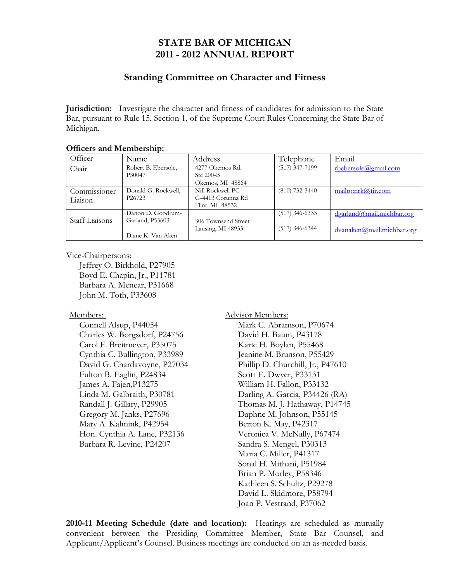# **STATE BAR OF MICHIGAN 2011 - 2012 ANNUAL REPORT**

### **Standing Committee on Character and Fitness**

**Jurisdiction:** Investigate the character and fitness of candidates for admission to the State Bar, pursuant to Rule 15, Section 1, of the Supreme Court Rules Concerning the State Bar of Michigan.

| Officer                 | Name                                      | Address                                                  | Telephone        | Email                     |
|-------------------------|-------------------------------------------|----------------------------------------------------------|------------------|---------------------------|
| Chair                   | Robert B. Ebersole,<br>P30047             | 4277 Okemos Rd.<br>Ste $200 - B$<br>Okemos, MI 48864     | $(517)$ 347-7199 | rbebersole@gmail.com      |
| Commissioner<br>Liaison | Donald G. Rockwell,<br>P <sub>26723</sub> | Nill Rockwell PC<br>G-4413 Corunna Rd<br>Flint, MI 48532 | $(810)$ 732-3440 | mailto:nrk@tir.com        |
| Staff Liaisons          | Danon D. Goodrum-<br>Garland, P53603      | 306 Townsend Street                                      | $(517)$ 346-6333 | dgarland@mail.michbar.org |
|                         | Diane K. Van Aken                         | Lansing, MI 48933                                        | $(517)$ 346-6344 | dvanaken@mail.michbar.org |

### **Officers and Membership:**

#### Vice-Chairpersons:

 Jeffrey O. Birkhold, P27905 Boyd E. Chapin, Jr., P11781 Barbara A. Menear, P31668 John M. Toth, P33608

#### Members:

 Connell Alsup, P44054 Charles W. Borgsdorf, P24756 Carol F. Breitmeyer, P35075 Cynthia C. Bullington, P33989 David G. Chardavoyne, P27034 Fulton B. Eaglin, P24834 James A. Fajen,P13275 Linda M. Galbraith, P30781 Randall J. Gillary, P29905 Gregory M. Janks, P27696 Mary A. Kalmink, P42954 Hon. Cynthia A. Lane, P32136 Barbara R. Levine, P24207

Advisor Members: Mark C. Abramson, P70674 David H. Baum, P43178 Karie H. Boylan, P55468 Jeanine M. Brunson, P55429 Phillip D. Churchill, Jr., P47610 Scott E. Dwyer, P33131 William H. Fallon, P33132 Darling A. Garcia, P34426 (RA) Thomas M. J. Hathaway, P14745 Daphne M. Johnson, P55145 Berton K. May, P42317 Veronica V. McNally, P67474 Sandra S. Mengel, P30313 Maria C. Miller, P41317 Sonal H. Mithani, P51984 Brian P. Morley, P58346 Kathleen S. Schultz, P29278 David L. Skidmore, P58794 Joan P. Vestrand, P37062

**2010-11 Meeting Schedule (date and location):** Hearings are scheduled as mutually convenient between the Presiding Committee Member, State Bar Counsel, and Applicant/Applicant's Counsel. Business meetings are conducted on an as-needed basis.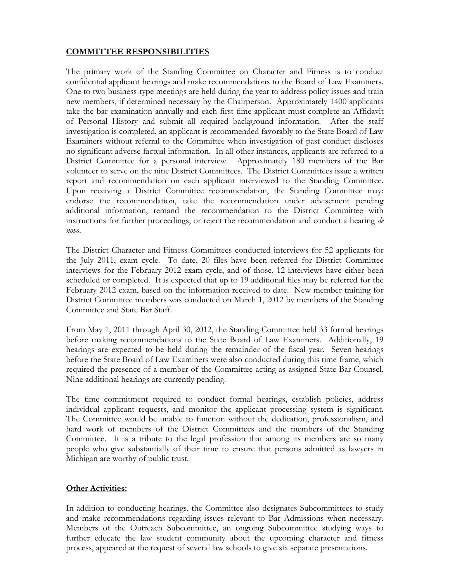## **COMMITTEE RESPONSIBILITIES**

The primary work of the Standing Committee on Character and Fitness is to conduct confidential applicant hearings and make recommendations to the Board of Law Examiners. One to two business-type meetings are held during the year to address policy issues and train new members, if determined necessary by the Chairperson. Approximately 1400 applicants take the bar examination annually and each first time applicant must complete an Affidavit of Personal History and submit all required background information. After the staff investigation is completed, an applicant is recommended favorably to the State Board of Law Examiners without referral to the Committee when investigation of past conduct discloses no significant adverse factual information. In all other instances, applicants are referred to a District Committee for a personal interview. Approximately 180 members of the Bar volunteer to serve on the nine District Committees. The District Committees issue a written report and recommendation on each applicant interviewed to the Standing Committee. Upon receiving a District Committee recommendation, the Standing Committee may: endorse the recommendation, take the recommendation under advisement pending additional information, remand the recommendation to the District Committee with instructions for further proceedings, or reject the recommendation and conduct a hearing *de novo*.

The District Character and Fitness Committees conducted interviews for 52 applicants for the July 2011, exam cycle. To date, 20 files have been referred for District Committee interviews for the February 2012 exam cycle, and of those, 12 interviews have either been scheduled or completed. It is expected that up to 19 additional files may be referred for the February 2012 exam, based on the information received to date. New member training for District Committee members was conducted on March 1, 2012 by members of the Standing Committee and State Bar Staff.

From May 1, 2011 through April 30, 2012, the Standing Committee held 33 formal hearings before making recommendations to the State Board of Law Examiners. Additionally, 19 hearings are expected to be held during the remainder of the fiscal year. Seven hearings before the State Board of Law Examiners were also conducted during this time frame, which required the presence of a member of the Committee acting as assigned State Bar Counsel. Nine additional hearings are currently pending.

The time commitment required to conduct formal hearings, establish policies, address individual applicant requests, and monitor the applicant processing system is significant. The Committee would be unable to function without the dedication, professionalism, and hard work of members of the District Committees and the members of the Standing Committee. It is a tribute to the legal profession that among its members are so many people who give substantially of their time to ensure that persons admitted as lawyers in Michigan are worthy of public trust.

## **Other Activities:**

In addition to conducting hearings, the Committee also designates Subcommittees to study and make recommendations regarding issues relevant to Bar Admissions when necessary. Members of the Outreach Subcommittee, an ongoing Subcommittee studying ways to further educate the law student community about the upcoming character and fitness process, appeared at the request of several law schools to give six separate presentations.